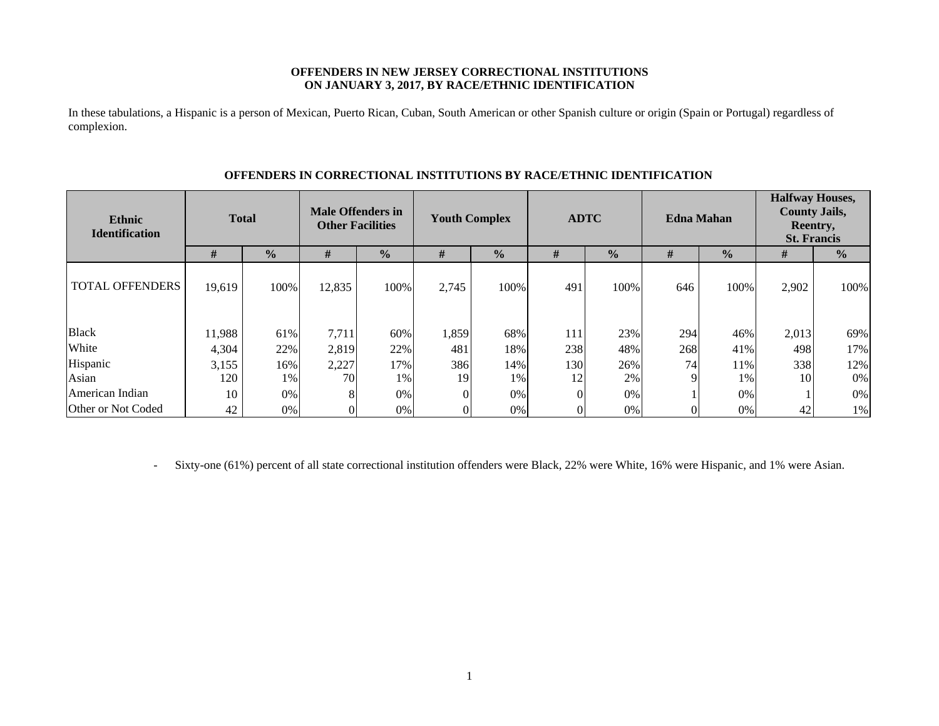## **OFFENDERS IN NEW JERSEY CORRECTIONAL INSTITUTIONS ON JANUARY 3, 2017, BY RACE/ETHNIC IDENTIFICATION**

In these tabulations, a Hispanic is a person of Mexican, Puerto Rican, Cuban, South American or other Spanish culture or origin (Spain or Portugal) regardless of complexion.

| <b>Ethnic</b><br><b>Identification</b> | <b>Total</b> |               | <b>Male Offenders in</b><br><b>Other Facilities</b> |               | <b>Youth Complex</b> |               | <b>ADTC</b> |               | <b>Edna Mahan</b> |               | <b>Halfway Houses,</b><br><b>County Jails,</b><br>Reentry,<br><b>St. Francis</b> |               |
|----------------------------------------|--------------|---------------|-----------------------------------------------------|---------------|----------------------|---------------|-------------|---------------|-------------------|---------------|----------------------------------------------------------------------------------|---------------|
|                                        | #            | $\frac{0}{0}$ | #                                                   | $\frac{0}{0}$ | #                    | $\frac{0}{0}$ | #           | $\frac{0}{0}$ | #                 | $\frac{0}{0}$ | #                                                                                | $\frac{0}{0}$ |
| <b>TOTAL OFFENDERS</b>                 | 19,619       | 100%          | 12,835                                              | 100%          | 2,745                | 100%          | 491         | 100%          | 646               | 100%          | 2,902                                                                            | 100%          |
| <b>Black</b>                           | 11,988       | 61%           | 7,711                                               | 60%           | 1,859                | 68%           | 111         | 23%           | 294               | 46%           | 2,013                                                                            | 69%           |
| White                                  | 4,304        | 22%           | 2,819                                               | 22%           | 481                  | 18%           | 238         | 48%           | 268               | 41%           | 498                                                                              | 17%           |
| Hispanic                               | 3,155        | 16%           | 2,227                                               | 17%           | 386                  | 14%           | 130         | 26%           | 74                | 11%           | 338                                                                              | 12%           |
| Asian                                  | 120          | 1%            | 70                                                  | 1%            | 19                   | 1%            | 12          | 2%            | 9                 | 1%            | 10                                                                               | $0\%$         |
| American Indian                        | 10           | 0%            | 8                                                   | 0%            |                      | 0%            | $\Omega$    | 0%            |                   | 0%            |                                                                                  | $0\%$         |
| Other or Not Coded                     | 42           | 0%            |                                                     | 0%            |                      | 0%            |             | 0%            | $\Omega$          | $0\%$         | 42                                                                               | 1%            |

## **OFFENDERS IN CORRECTIONAL INSTITUTIONS BY RACE/ETHNIC IDENTIFICATION**

-Sixty-one (61%) percent of all state correctional institution offenders were Black, 22% were White, 16% were Hispanic, and 1% were Asian.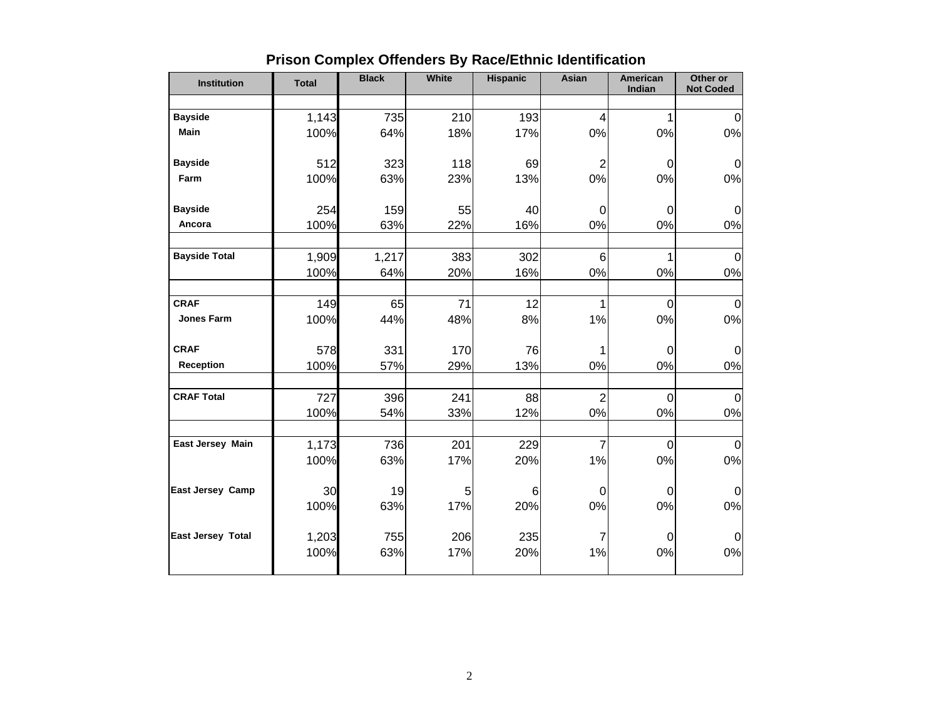| <b>Institution</b>   | <b>Total</b> | <b>Black</b> | <b>White</b> | <b>Hispanic</b> | Asian           | American<br>Indian | Other or<br><b>Not Coded</b> |
|----------------------|--------------|--------------|--------------|-----------------|-----------------|--------------------|------------------------------|
|                      |              |              |              |                 |                 |                    |                              |
| <b>Bayside</b>       | 1,143        | 735          | 210          | 193             | $\overline{4}$  | 1                  | $\mathbf 0$                  |
| Main                 | 100%         | 64%          | 18%          | 17%             | 0%              | 0%                 | $0\%$                        |
|                      |              |              |              |                 |                 |                    |                              |
| <b>Bayside</b>       | 512          | 323          | 118          | 69              | $\overline{2}$  | $\pmb{0}$          | $\pmb{0}$                    |
| Farm                 | 100%         | 63%          | 23%          | 13%             | 0%              | 0%                 | $0\%$                        |
| <b>Bayside</b>       | 254          | 159          | 55           | 40              | $\mathbf 0$     | $\mathbf 0$        | $\mathbf 0$                  |
| Ancora               | 100%         | 63%          | 22%          | 16%             | 0%              | 0%                 | 0%                           |
|                      |              |              |              |                 |                 |                    |                              |
| <b>Bayside Total</b> | 1,909        | 1,217        | 383          | 302             | $6\phantom{1}6$ | 1                  | $\overline{0}$               |
|                      | 100%         | 64%          | 20%          | 16%             | 0%              | 0%                 | 0%                           |
|                      |              |              |              |                 |                 |                    |                              |
| <b>CRAF</b>          | 149          | 65           | 71           | 12              | 1               | $\pmb{0}$          | $\mathbf 0$                  |
| <b>Jones Farm</b>    | 100%         | 44%          | 48%          | 8%              | 1%              | 0%                 | $0\%$                        |
|                      |              |              |              |                 |                 |                    |                              |
| <b>CRAF</b>          | 578          | 331          | 170          | 76              | 1               | 0                  | $\mathbf 0$                  |
| Reception            | 100%         | 57%          | 29%          | 13%             | 0%              | 0%                 | 0%                           |
|                      |              |              |              |                 |                 |                    |                              |
| <b>CRAF Total</b>    | 727          | 396          | 241          | 88              | $\overline{2}$  | 0                  | $\mathbf 0$                  |
|                      | 100%         | 54%          | 33%          | 12%             | 0%              | 0%                 | 0%                           |
|                      |              |              |              |                 |                 |                    |                              |
| East Jersey Main     | 1,173        | 736          | 201          | 229             | $\overline{7}$  | $\mathbf 0$        | $\mathbf 0$                  |
|                      | 100%         | 63%          | 17%          | 20%             | 1%              | 0%                 | $0\%$                        |
|                      |              |              |              |                 |                 |                    |                              |
| East Jersey Camp     | 30           | 19           | 5            | 6               | $\mathbf 0$     | $\mathbf 0$        | $\mathbf 0$                  |
|                      | 100%         | 63%          | 17%          | 20%             | 0%              | 0%                 | 0%                           |
|                      |              |              |              |                 |                 |                    |                              |
| East Jersey Total    | 1,203        | 755          | 206          | 235             | 7               | 0                  | $\mathbf 0$                  |
|                      | 100%         | 63%          | 17%          | 20%             | 1%              | 0%                 | $0\%$                        |
|                      |              |              |              |                 |                 |                    |                              |

# **Prison Complex Offenders By Race/Ethnic Identification**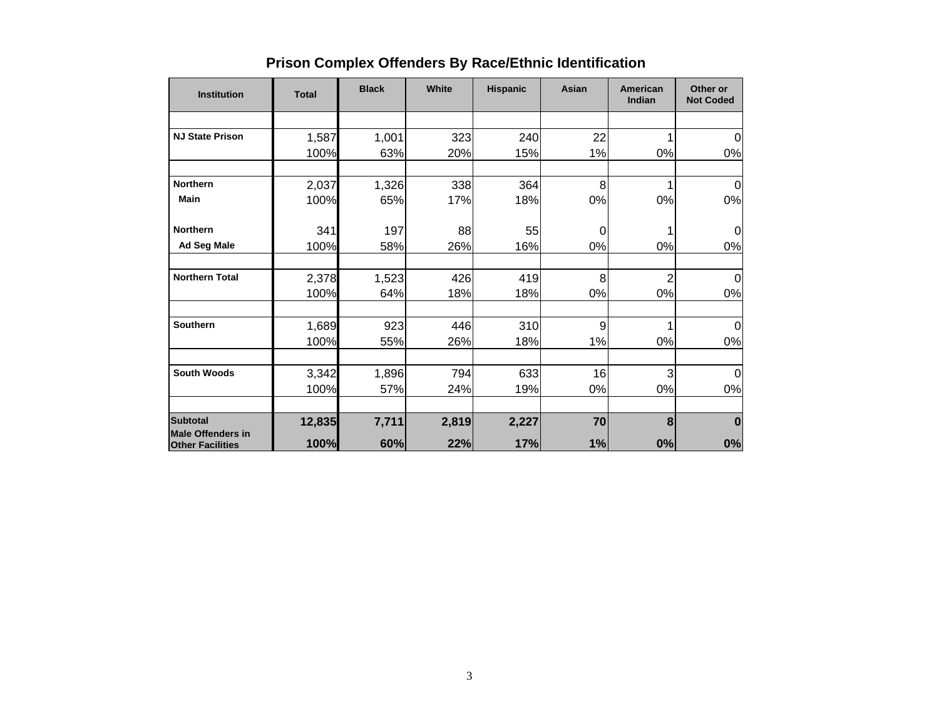| <b>Institution</b>                                  | <b>Total</b> | <b>Black</b> | White | <b>Hispanic</b> | Asian | American<br>Indian | Other or<br><b>Not Coded</b> |
|-----------------------------------------------------|--------------|--------------|-------|-----------------|-------|--------------------|------------------------------|
|                                                     |              |              |       |                 |       |                    |                              |
| <b>NJ State Prison</b>                              | 1,587        | 1,001        | 323   | 240             | 22    |                    | 0                            |
|                                                     | 100%         | 63%          | 20%   | 15%             | 1%    | 0%                 | 0%                           |
|                                                     |              |              |       |                 |       |                    |                              |
| <b>Northern</b>                                     | 2,037        | 1,326        | 338   | 364             | 8     |                    | 0                            |
| <b>Main</b>                                         | 100%         | 65%          | 17%   | 18%             | 0%    | 0%                 | $0\%$                        |
| <b>Northern</b>                                     | 341          | 197          | 88    | 55              | 0     |                    | 0                            |
| Ad Seg Male                                         | 100%         | 58%          | 26%   | 16%             | 0%    | 0%                 | 0%                           |
| <b>Northern Total</b>                               | 2,378        | 1,523        | 426   | 419             | 8     | $\overline{c}$     | $\Omega$                     |
|                                                     | 100%         | 64%          | 18%   | 18%             | 0%    | 0%                 | 0%                           |
|                                                     |              |              |       |                 |       |                    |                              |
| Southern                                            | 1,689        | 923          | 446   | 310             | 9     |                    | $\Omega$                     |
|                                                     | 100%         | 55%          | 26%   | 18%             | 1%    | 0%                 | 0%                           |
| <b>South Woods</b>                                  | 3,342        | 1,896        | 794   | 633             | 16    | 3                  | 0                            |
|                                                     | 100%         | 57%          | 24%   | 19%             | 0%    | 0%                 | 0%                           |
|                                                     |              |              |       |                 |       |                    |                              |
| <b>Subtotal</b>                                     | 12,835       | 7,711        | 2,819 | 2,227           | 70    | 8                  | $\bf{0}$                     |
| <b>Male Offenders in</b><br><b>Other Facilities</b> | 100%         | 60%          | 22%   | 17%             | 1%    | 0%                 | 0%                           |

# **Prison Complex Offenders By Race/Ethnic Identification**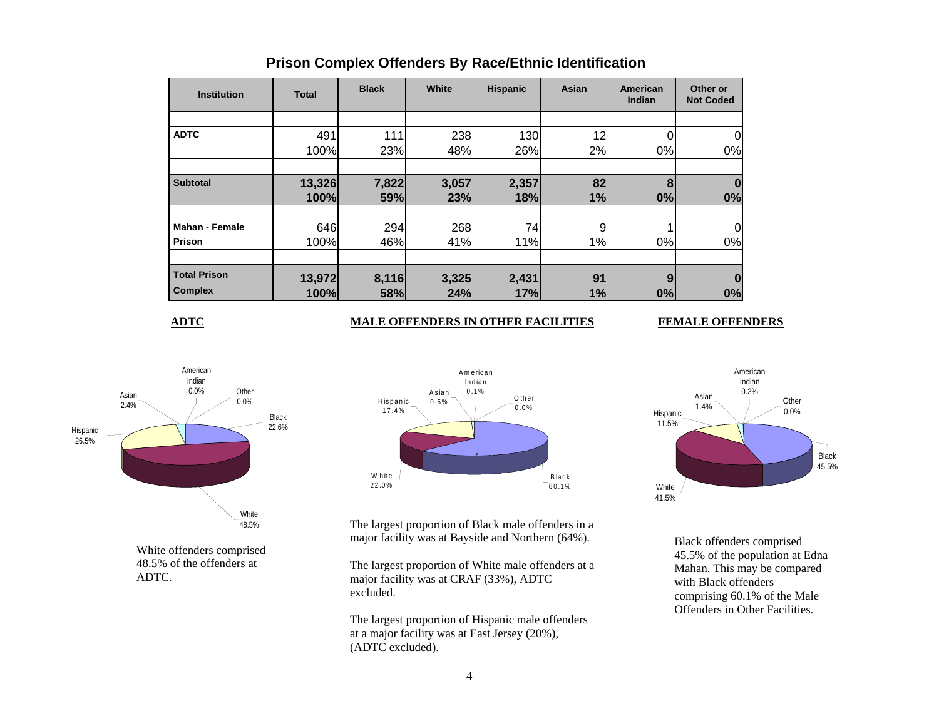| <b>Institution</b>    | <b>Total</b> | <b>Black</b> | White | <b>Hispanic</b> | Asian | American<br>Indian | Other or<br><b>Not Coded</b> |
|-----------------------|--------------|--------------|-------|-----------------|-------|--------------------|------------------------------|
|                       |              |              |       |                 |       |                    |                              |
| <b>ADTC</b>           | 491          | 111          | 238   | 130             | 12    |                    |                              |
|                       | 100%         | 23%          | 48%   | 26%             | 2%    | 0%                 | 0%                           |
|                       |              |              |       |                 |       |                    |                              |
| <b>Subtotal</b>       | 13,326       | 7,822        | 3,057 | 2,357           | 82    | 8                  |                              |
|                       | 100%         | 59%          | 23%   | 18%             | 1%    | 0%                 | 0%                           |
|                       |              |              |       |                 |       |                    |                              |
| <b>Mahan - Female</b> | 646          | 294          | 268   | 74              | 9     |                    |                              |
| Prison                | 100%         | 46%          | 41%   | 11%             | 1%    | $0\%$              | 0%                           |
|                       |              |              |       |                 |       |                    |                              |
| <b>Total Prison</b>   | 13,972       | 8,116        | 3,325 | 2,431           | 91    | 9                  |                              |
| <b>Complex</b>        | 100%         | 58%          | 24%   | 17%             | 1%    | 0%                 | 0%                           |

## **Prison Complex Offenders By Race/Ethnic Identification**

**ADTC**

## **MALE OFFENDERS IN OTHER FACILITIES FEMALE OFFENDERS**



White offenders comprised 48.5% of the offenders at ADTC.



The largest proportion of Black male offenders in a major facility was at Bayside and Northern (64%).

The largest proportion of White male offenders at a major facility was at CRAF (33%), ADTC excluded.

The largest proportion of Hispanic male offenders at a major facility was at East Jersey (20%), (ADTC excluded).



Black offenders comprised 45.5% of the population at Edna Mahan. This may be compared with Black offenders comprising 60.1% of the Male Offenders in Other Facilities.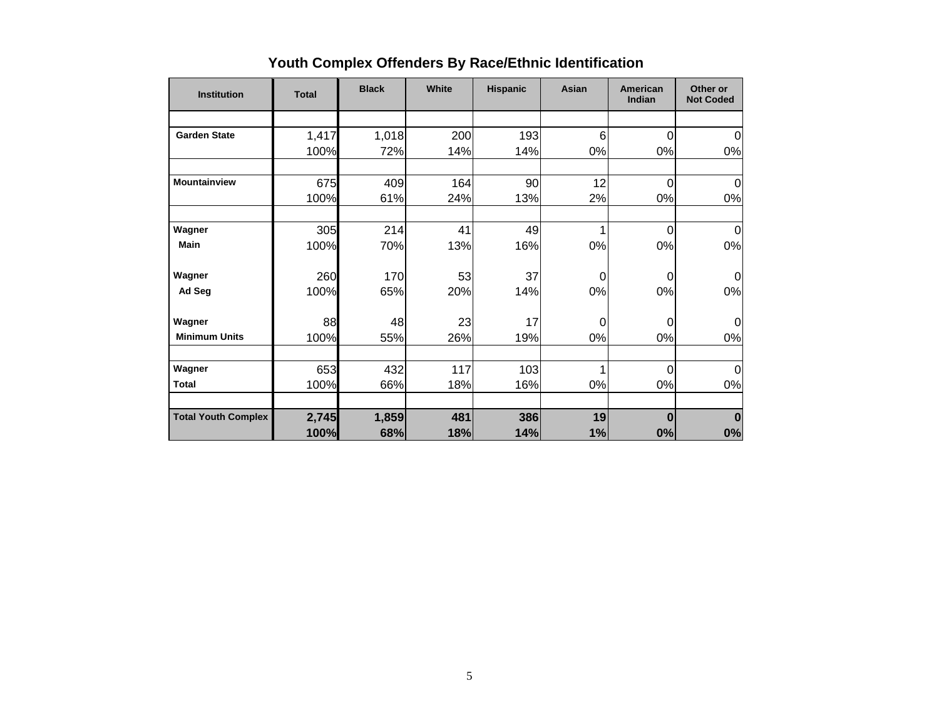| <b>Institution</b>         | <b>Total</b> | <b>Black</b> | White | <b>Hispanic</b> | Asian    | <b>American</b><br>Indian | Other or<br><b>Not Coded</b> |
|----------------------------|--------------|--------------|-------|-----------------|----------|---------------------------|------------------------------|
|                            |              |              |       |                 |          |                           |                              |
| <b>Garden State</b>        | 1,417        | 1,018        | 200   | 193             | 6        | 0                         | $\mathbf 0$                  |
|                            | 100%         | 72%          | 14%   | 14%             | 0%       | 0%                        | 0%                           |
| <b>Mountainview</b>        | 675          | 409          | 164   | 90              | 12       | 0                         | $\Omega$                     |
|                            | 100%         | 61%          | 24%   | 13%             | 2%       | 0%                        | 0%                           |
| Wagner                     | 305          | 214          | 41    | 49              |          | 0                         | 0                            |
| <b>Main</b>                | 100%         | 70%          | 13%   | 16%             | 0%       | 0%                        | 0%                           |
| Wagner                     | 260          | 170          | 53    | 37              | $\Omega$ | 0                         | $\Omega$                     |
| Ad Seg                     | 100%         | 65%          | 20%   | 14%             | 0%       | 0%                        | 0%                           |
| Wagner                     | 88           | 48           | 23    | 17              | 0        | 0                         | $\Omega$                     |
| <b>Minimum Units</b>       | 100%         | 55%          | 26%   | 19%             | 0%       | 0%                        | 0%                           |
| Wagner                     | 653          | 432          | 117   | 103             | 1        | $\Omega$                  | $\mathbf 0$                  |
| <b>Total</b>               | 100%         | 66%          | 18%   | 16%             | 0%       | 0%                        | 0%                           |
| <b>Total Youth Complex</b> | 2,745        | 1,859        | 481   | 386             | 19       | $\bf{0}$                  | $\bf{0}$                     |
|                            | 100%         | 68%          | 18%   | 14%             | 1%       | 0%                        | 0%                           |

# **Youth Complex Offenders By Race/Ethnic Identification**